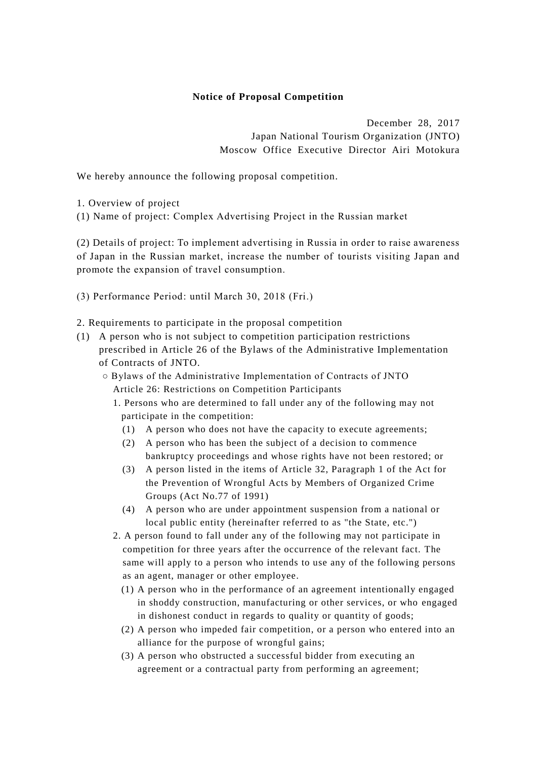## **Notice of Proposal Competition**

December 28, 2017 Japan National Tourism Organization (JNTO) Moscow Office Executive Director Airi Motokura

We hereby announce the following proposal competition.

1. Overview of project

(1) Name of project: Complex Advertising Project in the Russian market

(2) Details of project: To implement advertising in Russia in order to raise awareness of Japan in the Russian market, increase the number of tourists visiting Japan and promote the expansion of travel consumption.

(3) Performance Period: until March 30, 2018 (Fri.)

2. Requirements to participate in the proposal competition

- (1) A person who is not subject to competition participation restrictions prescribed in Article 26 of the Bylaws of the Administrative Implementation of Contracts of JNTO.
	- Bylaws of the Administrative Implementation of Contracts of JNTO Article 26: Restrictions on Competition Participants
		- 1. Persons who are determined to fall under any of the following may not participate in the competition:
			- (1) A person who does not have the capacity to execute agreements;
			- (2) A person who has been the subject of a decision to commence bankruptcy proceedings and whose rights have not been restored; or
			- (3) A person listed in the items of Article 32, Paragraph 1 of the Act for the Prevention of Wrongful Acts by Members of Organized Crime Groups (Act No.77 of 1991)
			- (4) A person who are under appointment suspension from a national or local public entity (hereinafter referred to as "the State, etc.")
		- 2. A person found to fall under any of the following may not participate in competition for three years after the occurrence of the relevant fact. The same will apply to a person who intends to use any of the following persons as an agent, manager or other employee.
			- (1) A person who in the performance of an agreement intentionally engaged in shoddy construction, manufacturing or other services, or who engaged in dishonest conduct in regards to quality or quantity of goods;
			- (2) A person who impeded fair competition, or a person who entered into an alliance for the purpose of wrongful gains;
			- (3) A person who obstructed a successful bidder from executing an agreement or a contractual party from performing an agreement;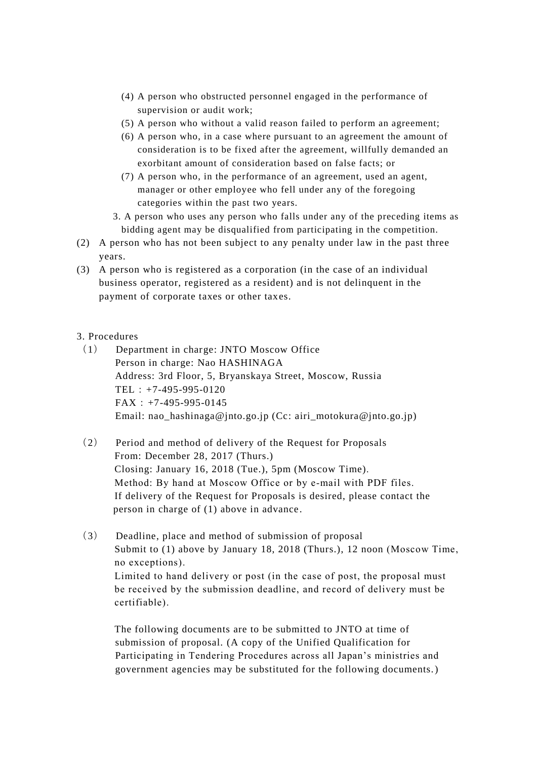- (4) A person who obstructed personnel engaged in the performance of supervision or audit work;
- (5) A person who without a valid reason failed to perform an agreement;
- (6) A person who, in a case where pursuant to an agreement the amount of consideration is to be fixed after the agreement, willfully demanded an exorbitant amount of consideration based on false facts; or
- (7) A person who, in the performance of an agreement, used an agent, manager or other employee who fell under any of the foregoing categories within the past two years.
- 3. A person who uses any person who falls under any of the preceding items as bidding agent may be disqualified from participating in the competition.
- (2) A person who has not been subject to any penalty under law in the past three years.
- (3) A person who is registered as a corporation (in the case of an individual business operator, registered as a resident) and is not delinquent in the payment of corporate taxes or other taxes.

## 3. Procedures

- (1) Department in charge: JNTO Moscow Office Person in charge: Nao HASHINAGA Address: 3rd Floor, 5, Bryanskaya Street, Moscow, Russia TEL:+7-495-995-0120  $FAX: +7-495-995-0145$ Email: nao\_hashinaga@jnto.go.jp (Cc: airi\_motokura@jnto.go.jp)
- (2) Period and method of delivery of the Request for Proposals From: December 28, 2017 (Thurs.) Closing: January 16, 2018 (Tue.), 5pm (Moscow Time). Method: By hand at Moscow Office or by e-mail with PDF files. If delivery of the Request for Proposals is desired, please contact the person in charge of (1) above in advance .
- (3) Deadline, place and method of submission of proposal Submit to (1) above by January 18, 2018 (Thurs.), 12 noon (Moscow Time, no exceptions). Limited to hand delivery or post (in the case of post, the proposal must be received by the submission deadline, and record of delivery must be certifiable).

The following documents are to be submitted to JNTO at time of submission of proposal. (A copy of the Unified Qualification for Participating in Tendering Procedures across all Japan's ministries and government agencies may be substituted for the following documents.)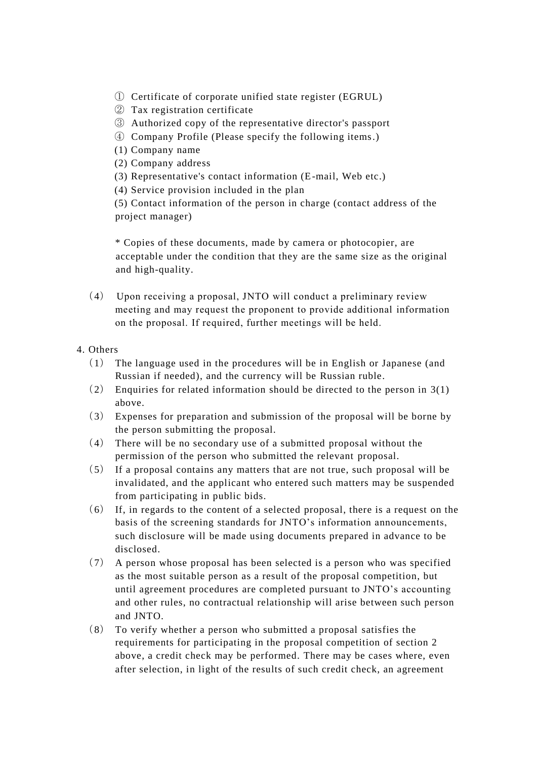- ① Certificate of corporate unified state register (EGRUL)
- ② Tax registration certificate
- ③ Authorized copy of the representative director's passport
- ④ Company Profile (Please specify the following items.)
- (1) Company name
- (2) Company address
- (3) Representative's contact information (E-mail, Web etc.)
- (4) Service provision included in the plan

(5) Contact information of the person in charge (contact address of the project manager)

\* Copies of these documents, made by camera or photocopier, are acceptable under the condition that they are the same size as the original and high-quality.

- (4) Upon receiving a proposal, JNTO will conduct a preliminary review meeting and may request the proponent to provide additional information on the proposal. If required, further meetings will be held.
- 4. Others
	- (1) The language used in the procedures will be in English or Japanese (and Russian if needed), and the currency will be Russian ruble.
	- (2) Enquiries for related information should be directed to the person in 3(1) above.
	- (3) Expenses for preparation and submission of the proposal will be borne by the person submitting the proposal.
	- (4) There will be no secondary use of a submitted proposal without the permission of the person who submitted the relevant proposal.
	- (5) If a proposal contains any matters that are not true, such proposal will be invalidated, and the applicant who entered such matters may be suspended from participating in public bids.
	- (6) If, in regards to the content of a selected proposal, there is a request on the basis of the screening standards for JNTO's information announcements, such disclosure will be made using documents prepared in advance to be disclosed.
	- (7) A person whose proposal has been selected is a person who was specified as the most suitable person as a result of the proposal competition, but until agreement procedures are completed pursuant to JNTO's accounting and other rules, no contractual relationship will arise between such person and JNTO.
	- (8) To verify whether a person who submitted a proposal satisfies the requirements for participating in the proposal competition of section 2 above, a credit check may be performed. There may be cases where, even after selection, in light of the results of such credit check, an agreement